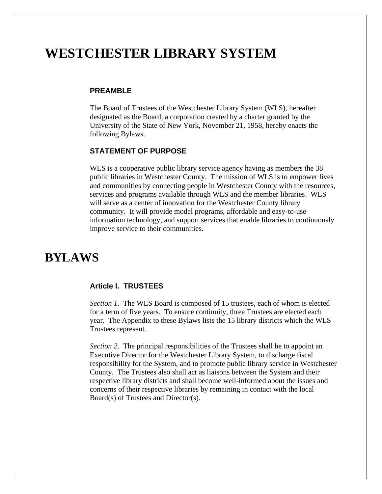# **WESTCHESTER LIBRARY SYSTEM**

#### **PREAMBLE**

The Board of Trustees of the Westchester Library System (WLS), hereafter designated as the Board, a corporation created by a charter granted by the University of the State of New York, November 21, 1958, hereby enacts the following Bylaws.

# **STATEMENT OF PURPOSE**

WLS is a cooperative public library service agency having as members the 38 public libraries in Westchester County. The mission of WLS is to empower lives and communities by connecting people in Westchester County with the resources, services and programs available through WLS and the member libraries. WLS will serve as a center of innovation for the Westchester County library community. It will provide model programs, affordable and easy-to-use information technology, and support services that enable libraries to continuously improve service to their communities.

# **BYLAWS**

#### **Article I. TRUSTEES**

*Section 1*. The WLS Board is composed of 15 trustees, each of whom is elected for a term of five years. To ensure continuity, three Trustees are elected each year. The Appendix to these Bylaws lists the 15 library districts which the WLS Trustees represent.

*Section 2*. The principal responsibilities of the Trustees shall be to appoint an Executive Director for the Westchester Library System, to discharge fiscal responsibility for the System, and to promote public library service in Westchester County. The Trustees also shall act as liaisons between the System and their respective library districts and shall become well-informed about the issues and concerns of their respective libraries by remaining in contact with the local Board(s) of Trustees and Director(s).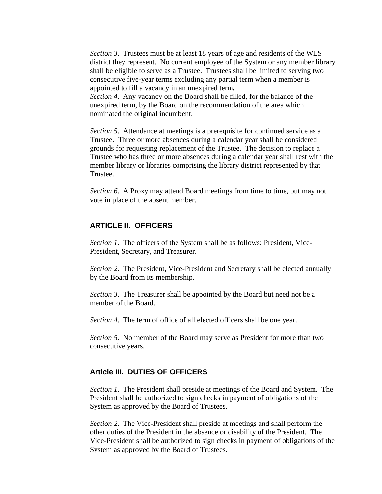*Section 3*. Trustees must be at least 18 years of age and residents of the WLS district they represent. No current employee of the System or any member library shall be eligible to serve as a Trustee. Trustees shall be limited to serving two consecutive five-year terms excluding any partial term when a member is appointed to fill a vacancy in an unexpired term*.*

*Section 4.* Any vacancy on the Board shall be filled, for the balance of the unexpired term, by the Board on the recommendation of the area which nominated the original incumbent.

*Section 5.* Attendance at meetings is a prerequisite for continued service as a Trustee. Three or more absences during a calendar year shall be considered grounds for requesting replacement of the Trustee. The decision to replace a Trustee who has three or more absences during a calendar year shall rest with the member library or libraries comprising the library district represented by that Trustee.

*Section 6*. A Proxy may attend Board meetings from time to time, but may not vote in place of the absent member.

# **ARTICLE II. OFFICERS**

*Section 1*. The officers of the System shall be as follows: President, Vice-President, Secretary, and Treasurer.

*Section 2*. The President, Vice-President and Secretary shall be elected annually by the Board from its membership.

*Section 3*. The Treasurer shall be appointed by the Board but need not be a member of the Board.

*Section 4*. The term of office of all elected officers shall be one year.

*Section 5*. No member of the Board may serve as President for more than two consecutive years.

### **Article III. DUTIES OF OFFICERS**

*Section 1*. The President shall preside at meetings of the Board and System. The President shall be authorized to sign checks in payment of obligations of the System as approved by the Board of Trustees.

*Section 2*. The Vice-President shall preside at meetings and shall perform the other duties of the President in the absence or disability of the President. The Vice-President shall be authorized to sign checks in payment of obligations of the System as approved by the Board of Trustees.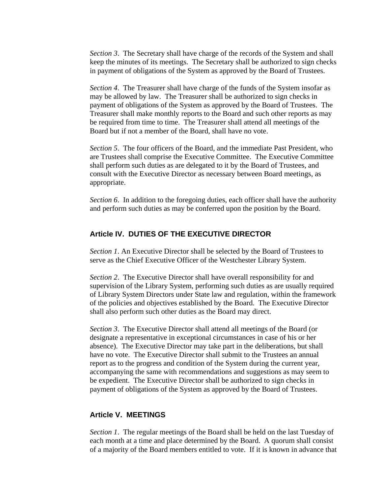*Section 3.* The Secretary shall have charge of the records of the System and shall keep the minutes of its meetings. The Secretary shall be authorized to sign checks in payment of obligations of the System as approved by the Board of Trustees.

*Section 4*. The Treasurer shall have charge of the funds of the System insofar as may be allowed by law. The Treasurer shall be authorized to sign checks in payment of obligations of the System as approved by the Board of Trustees. The Treasurer shall make monthly reports to the Board and such other reports as may be required from time to time. The Treasurer shall attend all meetings of the Board but if not a member of the Board, shall have no vote.

*Section 5*. The four officers of the Board, and the immediate Past President, who are Trustees shall comprise the Executive Committee. The Executive Committee shall perform such duties as are delegated to it by the Board of Trustees, and consult with the Executive Director as necessary between Board meetings, as appropriate.

*Section 6*. In addition to the foregoing duties, each officer shall have the authority and perform such duties as may be conferred upon the position by the Board.

# **Article IV. DUTIES OF THE EXECUTIVE DIRECTOR**

*Section 1*. An Executive Director shall be selected by the Board of Trustees to serve as the Chief Executive Officer of the Westchester Library System.

*Section 2*. The Executive Director shall have overall responsibility for and supervision of the Library System, performing such duties as are usually required of Library System Directors under State law and regulation, within the framework of the policies and objectives established by the Board. The Executive Director shall also perform such other duties as the Board may direct.

*Section 3*. The Executive Director shall attend all meetings of the Board (or designate a representative in exceptional circumstances in case of his or her absence). The Executive Director may take part in the deliberations, but shall have no vote. The Executive Director shall submit to the Trustees an annual report as to the progress and condition of the System during the current year, accompanying the same with recommendations and suggestions as may seem to be expedient. The Executive Director shall be authorized to sign checks in payment of obligations of the System as approved by the Board of Trustees.

# **Article V. MEETINGS**

*Section 1*. The regular meetings of the Board shall be held on the last Tuesday of each month at a time and place determined by the Board. A quorum shall consist of a majority of the Board members entitled to vote. If it is known in advance that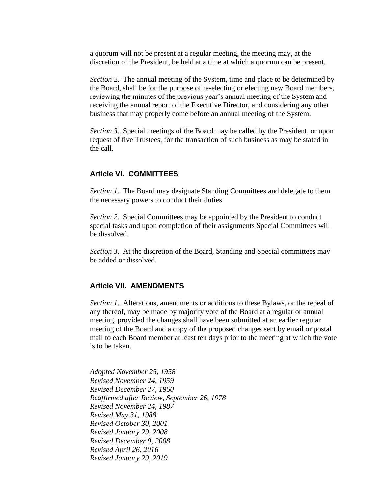a quorum will not be present at a regular meeting, the meeting may, at the discretion of the President, be held at a time at which a quorum can be present.

*Section 2*. The annual meeting of the System, time and place to be determined by the Board, shall be for the purpose of re-electing or electing new Board members, reviewing the minutes of the previous year's annual meeting of the System and receiving the annual report of the Executive Director, and considering any other business that may properly come before an annual meeting of the System.

*Section 3*. Special meetings of the Board may be called by the President, or upon request of five Trustees, for the transaction of such business as may be stated in the call.

#### **Article VI. COMMITTEES**

*Section 1*. The Board may designate Standing Committees and delegate to them the necessary powers to conduct their duties.

*Section 2*. Special Committees may be appointed by the President to conduct special tasks and upon completion of their assignments Special Committees will be dissolved.

*Section 3.* At the discretion of the Board, Standing and Special committees may be added or dissolved.

#### **Article VII. AMENDMENTS**

*Section 1*. Alterations, amendments or additions to these Bylaws, or the repeal of any thereof, may be made by majority vote of the Board at a regular or annual meeting, provided the changes shall have been submitted at an earlier regular meeting of the Board and a copy of the proposed changes sent by email or postal mail to each Board member at least ten days prior to the meeting at which the vote is to be taken.

*Adopted November 25, 1958 Revised November 24, 1959 Revised December 27, 1960 Reaffirmed after Review, September 26, 1978 Revised November 24, 1987 Revised May 31, 1988 Revised October 30, 2001 Revised January 29, 2008 Revised December 9, 2008 Revised April 26, 2016 Revised January 29, 2019*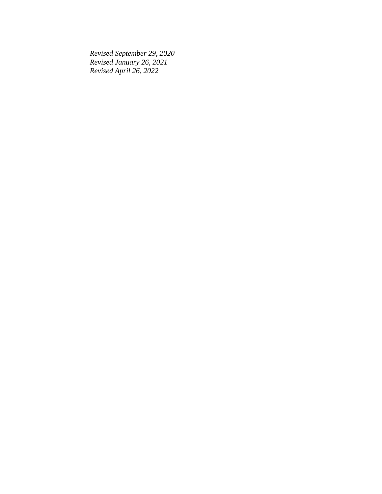*Revised September 29, 2020 Revised January 26, 2021 Revised April 26, 2022*